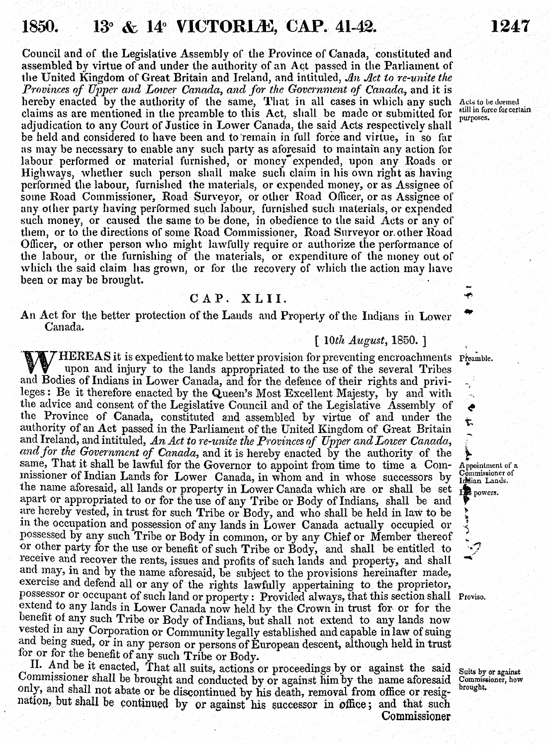## 1850. **13<sup>°</sup> & 14<sup>°</sup> VICTORLE, CAP. 41-42.**

Council and of the Legislative Assembly of the Province of Canada, constituted and assembled **by** virtue of and under the authority of an Act passed in the Parliainent of the United Kingdom of Great Britain and Ireland, and intituled, *A1n A1ct to re-unite the Provinces of Upper and Lower Canada, and for the Government of Canada,* and it is hereby enacted by the authority of the same, That in all cases in which any such Acts to be deemed claims as are mentioned in the preamble to this Act, shall be made or subnitted for adjudication to any Court of Justice in Lower Canada, the said Acts respectivelv shall be held and considered to have been and to'reinain in full force and virtue, in so far as may be necessary to enable any such party as aforesaid to maintain any action for labour performed or material furnished, or money expended, upon any Roads or Highways, whether such person shall make such claim in his own right as having performed the labour, furnished the materials, or expended money, or as Assignee of soine Road Commissioner, Road Surveyor, or other Road Oflicer, or as Assignee of any other party having performed such labour, furnished such materials, or expended such noney, or caused the sane to be done, in obedience to the said Acts or any of them, or to the directions of some Road Cominissioner, Road Surveyor orother Road Oflicer, or other person who might lawfully require or authorize the performance of the labour, or the furnishing of the inaterials, or expenditure of the money out of which the said claim has grown, or for the recovery of which the action may have been or may be brought.

## **CAP. XLII.**

An Act for the better protection of the Lands and Property of the Indians in Lower Canada.

## *10th Augùst,* **1850.]**

**IV HEREAS** it is expedient to make better provision for preventing encroachments Preamble upon and injury to the lands appropriated to the use of the several Tribes and Bodies of Indians in Lower Canada, and for the defence of their rights and privi-leges: Be it therefore enacted by the Queen's Most Excellent Majesty, by and with the advice and consent of the Legislative Council and of the Legislative Assembly of the Province of Canada, constituted and assembled **by** virtue of and under the authority of an Act passed **in** the Parliament of the Tnited Kingdom of Great Britain and Ireland, and intituled, *An Act to re-unite the Provinces of Upper and Lower Canada, andfor the Government of Canada,* and it is hereby enacted **by** the authority of the same, That it shall be lawful for the Governor to appoint from time to time a Commissioner of Indian Lands for Lower Canada, in whom and in whose successors by missioner of Indian Lands for Lower Canada, in whom and in whose successors by Littian Lands the name aforesaid, all lands or property in Lower Canada which are or shall be set  $\mathbf{r}_{\text{avover}}^{\text{E}}$  powcrs. apart or appropriated to or for the use of any Tribe or Body of Indians, shall be and are hereby vested, in trust for such Tribe or Body, and who shall be held in law to be in the occupation and possession of any lands in Lower Canada actually occupied or possessed **by** any such Tribe or Body in comnon, or **by** any Chief or Member thereof or other party for the use or benefit of such Tribe or Body, and shall be entitled to receive and recover the rents, issues and profits of such lands and property, and shall and may, in and by the name aforesaid, be subject to the provisions hereinafter made, exercise and defend all or any of the rights lawfully appertaining to the proprietor, possessor or occupant of such land or property: Provided always, that this section shall Proviso extend to any lands in Lower Canada now held **by** the Crown **in** trust for or for the benefit of any such Tribe or Body of Indians, but shall not extend to any lands now vested in any Corporation or Community legally established and capable in law of suing and being sued, or in any person or persons of European descent, although held in trust for or for the benefit of any such Tribe or Bod

II. And be it enacted, That all suits, actions or proceedings by or against the said Comnissioner shall be brought and conducted **by** or against him **by** the name aforesaid only, and shall not abate or be discontinued **by** his death, removal from office or resignation, but Shall be contimied **by** or against his ,uccessor **in** office; and that such Commissioner

Suits **by** or against Commissioner, how brought.

Appointwent of a Commissioner of Irlian Lands.

 $\alpha^{\prime}$ Ĉ Ť.

still in force for certain *purposes.*